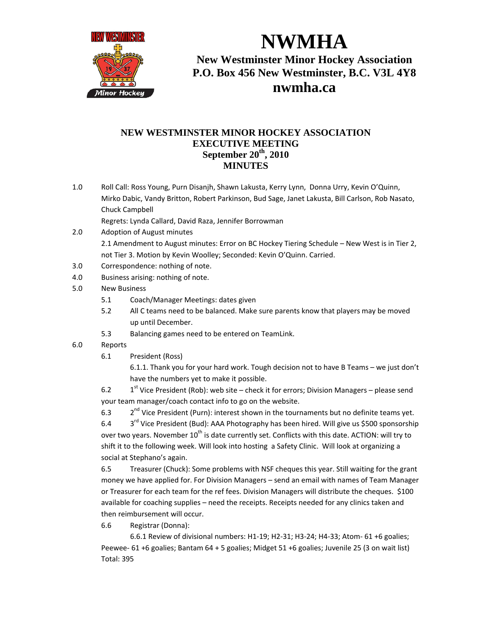

**NWMHA New Westminster Minor Hockey Association P.O. Box 456 New Westminster, B.C. V3L 4Y8 nwmha.ca**

## **NEW WESTMINSTER MINOR HOCKEY ASSOCIATION EXECUTIVE MEETING September 20th, 2010 MINUTES**

1.0 Roll Call: Ross Young, Purn Disanjh, Shawn Lakusta, Kerry Lynn, Donna Urry, Kevin O'Quinn, Mirko Dabic, Vandy Britton, Robert Parkinson, Bud Sage, Janet Lakusta, Bill Carlson, Rob Nasato, Chuck Campbell

Regrets: Lynda Callard, David Raza, Jennifer Borrowman

- 2.0 Adoption of August minutes 2.1 Amendment to August minutes: Error on BC Hockey Tiering Schedule – New West is in Tier 2, not Tier 3. Motion by Kevin Woolley; Seconded: Kevin O'Quinn. Carried.
- 3.0 Correspondence: nothing of note.
- 4.0 Business arising: nothing of note.
- 5.0 New Business
	- 5.1 Coach/Manager Meetings: dates given
	- 5.2 All C teams need to be balanced. Make sure parents know that players may be moved up until December.
	- 5.3 Balancing games need to be entered on TeamLink.
- 6.0 Reports
	- 6.1 President (Ross)

6.1.1. Thank you for your hard work. Tough decision not to have B Teams – we just don't have the numbers yet to make it possible.

6.2  $1<sup>st</sup>$  Vice President (Rob): web site – check it for errors; Division Managers – please send your team manager/coach contact info to go on the website.

6.3 2<sup>nd</sup> Vice President (Purn): interest shown in the tournaments but no definite teams yet.

6.4  $3<sup>rd</sup>$  Vice President (Bud): AAA Photography has been hired. Will give us \$500 sponsorship over two years. November 10<sup>th</sup> is date currently set. Conflicts with this date. ACTION: will try to shift it to the following week. Will look into hosting a Safety Clinic. Will look at organizing a social at Stephano's again.

6.5 Treasurer (Chuck): Some problems with NSF cheques this year. Still waiting for the grant money we have applied for. For Division Managers – send an email with names of Team Manager or Treasurer for each team for the ref fees. Division Managers will distribute the cheques. \$100 available for coaching supplies – need the receipts. Receipts needed for any clinics taken and then reimbursement will occur.

6.6 Registrar (Donna):

6.6.1 Review of divisional numbers: H1-19; H2-31; H3-24; H4-33; Atom- 61 +6 goalies; Peewee- 61 +6 goalies; Bantam 64 + 5 goalies; Midget 51 +6 goalies; Juvenile 25 (3 on wait list) Total: 395